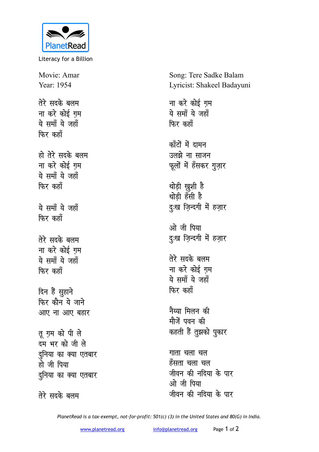

Literacy for a Billion

Movie: Amar Year: 1954 तेरे सदके बलम **ना करे कोई ग़म** ये समॉं ये जहाँ **फिर** कहाँ हो तेरे सदके बलम **ना करे कोई ग़म** ये समॉं ये जहाँ **फिर** कहाँ ये समॉं ये जहाँ **फिर** कहाँ तेरे सदके बलम **ना करे कोई ग़म** <u>ये</u> समॉं ये जहॉं **फिर** कहाँ दिन हैं सुहाने **फिर कौन ये जाने** <u>आए</u> ना आए बहार **तू ग़म को पी ले** दम भर को जी ले दुनिया का क्या एतबार हो जी पिया <u>दु</u>निया का क्या एतबार तेरे सदके बलम

Song: Tere Sadke Balam Lyricist: Shakeel Badayuni

**ना करे कोई गम** ये समॉं ये जहाँ **फिर** कहाँ <u>कॉंटों में दामन</u> उलझे ना साजन फूलों में हँसकर <u>ग</u>ुज़ार थोड़ी ख़ूशी है थोडी हँसी है दुःख ज़िन्दगी में हज़ार <u>ओ जी पिया</u> दुःख ज़िन्दगी में हज़ार **तेरे सदके बलम** <u>ना करे कोई गम</u> ये समॉं ये जहाँ **फिर** कहाँ नैय्या मिलन क<u>ी</u> मौजें पवन की कहती हैं तुझको पुकार **गाता चला चल** हँसता चला चल <u>जीवन की नदिया के पार</u> ओ जी पिया <u>जीवन की नदिया के पार</u>

*PlanetRead is a tax-exempt, not-for-profit: 501(c) (3) in the United States and 80(G) in India.*